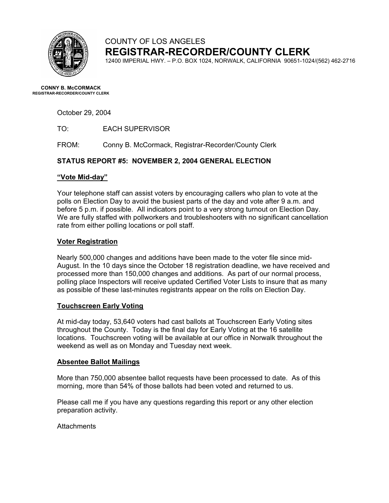

# COUNTY OF LOS ANGELES **REGISTRAR-RECORDER/COUNTY CLERK**

12400 IMPERIAL HWY. – P.O. BOX 1024, NORWALK, CALIFORNIA 90651-1024/(562) 462-2716

**CONNY B. McCORMACK REGISTRAR-RECORDER/COUNTY CLERK** 

October 29, 2004

FROM: Conny B. McCormack, Registrar-Recorder/County Clerk

### **STATUS REPORT #5: NOVEMBER 2, 2004 GENERAL ELECTION**

#### **"Vote Mid-day"**

Your telephone staff can assist voters by encouraging callers who plan to vote at the polls on Election Day to avoid the busiest parts of the day and vote after 9 a.m. and before 5 p.m. if possible. All indicators point to a very strong turnout on Election Day. We are fully staffed with pollworkers and troubleshooters with no significant cancellation rate from either polling locations or poll staff.

#### **Voter Registration**

Nearly 500,000 changes and additions have been made to the voter file since mid-August. In the 10 days since the October 18 registration deadline, we have received and processed more than 150,000 changes and additions. As part of our normal process, polling place Inspectors will receive updated Certified Voter Lists to insure that as many as possible of these last-minutes registrants appear on the rolls on Election Day.

### **Touchscreen Early Voting**

At mid-day today, 53,640 voters had cast ballots at Touchscreen Early Voting sites throughout the County. Today is the final day for Early Voting at the 16 satellite locations. Touchscreen voting will be available at our office in Norwalk throughout the weekend as well as on Monday and Tuesday next week.

#### **Absentee Ballot Mailings**

More than 750,000 absentee ballot requests have been processed to date. As of this morning, more than 54% of those ballots had been voted and returned to us.

Please call me if you have any questions regarding this report or any other election preparation activity.

**Attachments**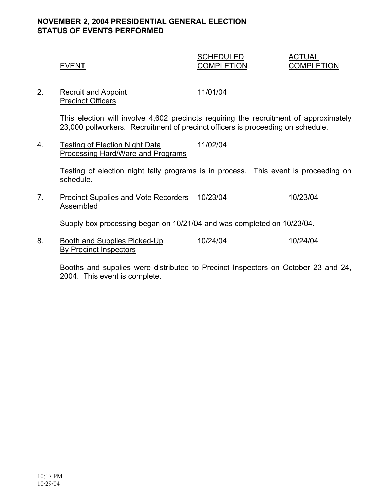## **NOVEMBER 2, 2004 PRESIDENTIAL GENERAL ELECTION STATUS OF EVENTS PERFORMED**

## SCHEDULED ACTUAL EVENT COMPLETION COMPLETION

2. Recruit and Appoint 11/01/04 Precinct Officers

> This election will involve 4,602 precincts requiring the recruitment of approximately 23,000 pollworkers. Recruitment of precinct officers is proceeding on schedule.

4. Testing of Election Night Data 11/02/04 Processing Hard/Ware and Programs

> Testing of election night tally programs is in process. This event is proceeding on schedule.

7. Precinct Supplies and Vote Recorders 10/23/04 10/23/04 Assembled

Supply box processing began on 10/21/04 and was completed on 10/23/04.

8. Booth and Supplies Picked-Up 10/24/04 10/24/04 By Precinct Inspectors

Booths and supplies were distributed to Precinct Inspectors on October 23 and 24, 2004. This event is complete.